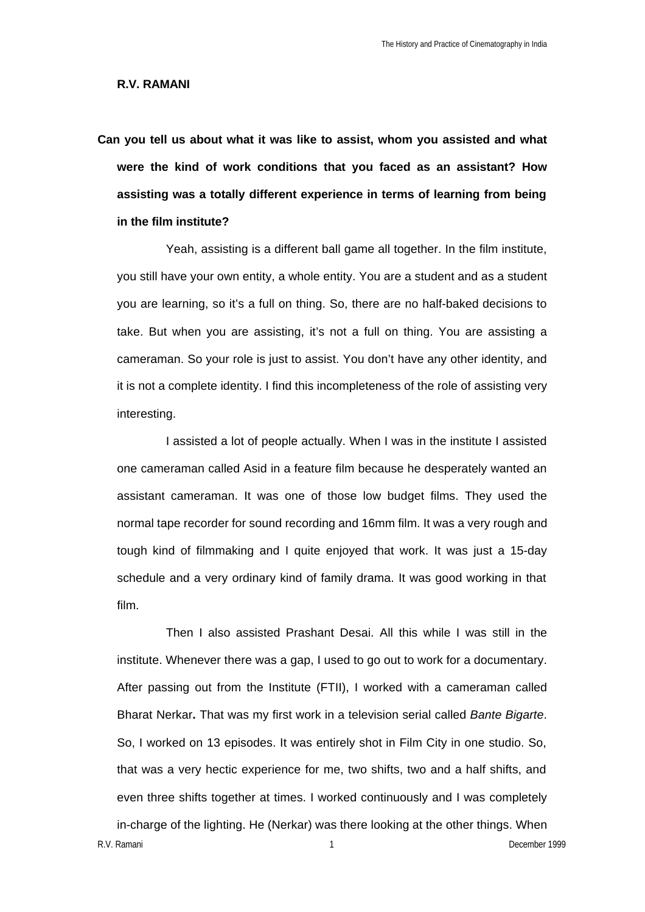## **R.V. RAMANI**

**Can you tell us about what it was like to assist, whom you assisted and what were the kind of work conditions that you faced as an assistant? How assisting was a totally different experience in terms of learning from being in the film institute?**

Yeah, assisting is a different ball game all together. In the film institute, you still have your own entity, a whole entity. You are a student and as a student you are learning, so it's a full on thing. So, there are no half-baked decisions to take. But when you are assisting, it's not a full on thing. You are assisting a cameraman. So your role is just to assist. You don't have any other identity, and it is not a complete identity. I find this incompleteness of the role of assisting very interesting.

I assisted a lot of people actually. When I was in the institute I assisted one cameraman called Asid in a feature film because he desperately wanted an assistant cameraman. It was one of those low budget films. They used the normal tape recorder for sound recording and 16mm film. It was a very rough and tough kind of filmmaking and I quite enjoyed that work. It was just a 15-day schedule and a very ordinary kind of family drama. It was good working in that film.

R.V. Ramani **1** December 1999 Then I also assisted Prashant Desai. All this while I was still in the institute. Whenever there was a gap, I used to go out to work for a documentary. After passing out from the Institute (FTII), I worked with a cameraman called Bharat Nerkar**.** That was my first work in a television serial called *Bante Bigarte*. So, I worked on 13 episodes. It was entirely shot in Film City in one studio. So, that was a very hectic experience for me, two shifts, two and a half shifts, and even three shifts together at times. I worked continuously and I was completely in-charge of the lighting. He (Nerkar) was there looking at the other things. When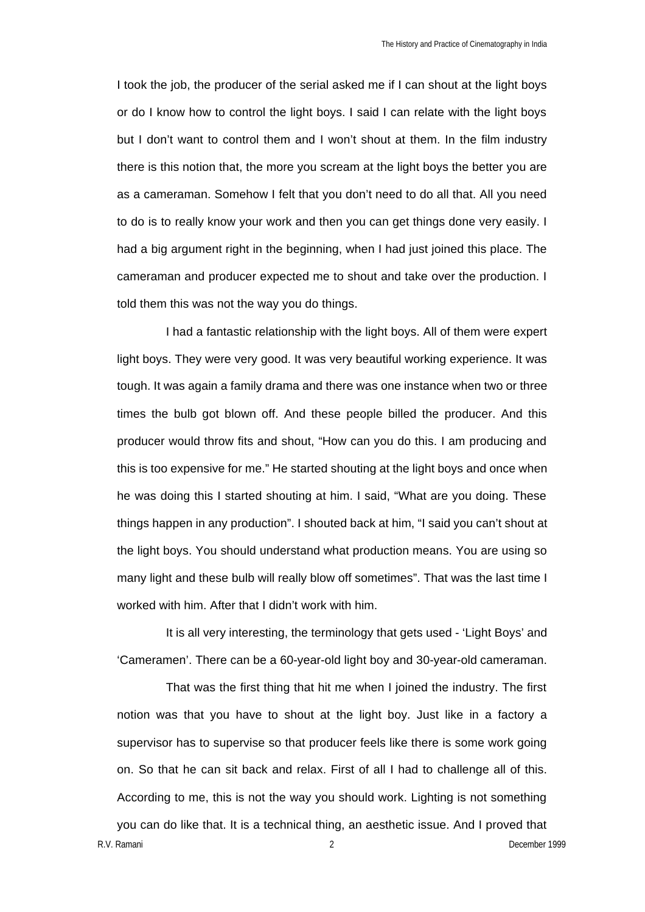I took the job, the producer of the serial asked me if I can shout at the light boys or do I know how to control the light boys. I said I can relate with the light boys but I don't want to control them and I won't shout at them. In the film industry there is this notion that, the more you scream at the light boys the better you are as a cameraman. Somehow I felt that you don't need to do all that. All you need to do is to really know your work and then you can get things done very easily. I had a big argument right in the beginning, when I had just joined this place. The cameraman and producer expected me to shout and take over the production. I told them this was not the way you do things.

I had a fantastic relationship with the light boys. All of them were expert light boys. They were very good. It was very beautiful working experience. It was tough. It was again a family drama and there was one instance when two or three times the bulb got blown off. And these people billed the producer. And this producer would throw fits and shout, "How can you do this. I am producing and this is too expensive for me." He started shouting at the light boys and once when he was doing this I started shouting at him. I said, "What are you doing. These things happen in any production". I shouted back at him, "I said you can't shout at the light boys. You should understand what production means. You are using so many light and these bulb will really blow off sometimes". That was the last time I worked with him. After that I didn't work with him.

It is all very interesting, the terminology that gets used - 'Light Boys' and 'Cameramen'. There can be a 60-year-old light boy and 30-year-old cameraman.

R.V. Ramani 2 December 1999 That was the first thing that hit me when I joined the industry. The first notion was that you have to shout at the light boy. Just like in a factory a supervisor has to supervise so that producer feels like there is some work going on. So that he can sit back and relax. First of all I had to challenge all of this. According to me, this is not the way you should work. Lighting is not something you can do like that. It is a technical thing, an aesthetic issue. And I proved that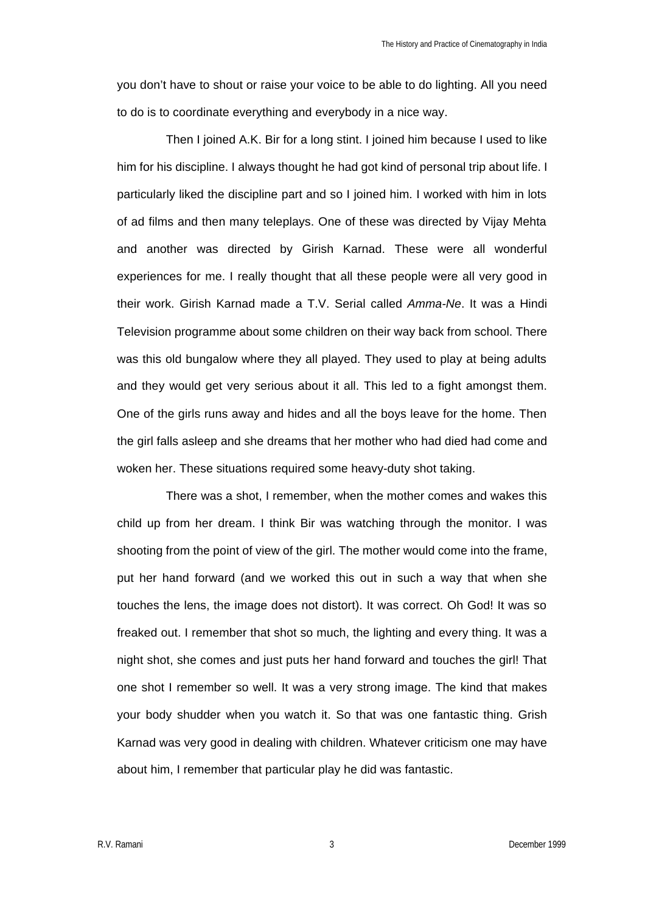you don't have to shout or raise your voice to be able to do lighting. All you need to do is to coordinate everything and everybody in a nice way.

Then I joined A.K. Bir for a long stint. I joined him because I used to like him for his discipline. I always thought he had got kind of personal trip about life. I particularly liked the discipline part and so I joined him. I worked with him in lots of ad films and then many teleplays. One of these was directed by Vijay Mehta and another was directed by Girish Karnad. These were all wonderful experiences for me. I really thought that all these people were all very good in their work. Girish Karnad made a T.V. Serial called *Amma-Ne*. It was a Hindi Television programme about some children on their way back from school. There was this old bungalow where they all played. They used to play at being adults and they would get very serious about it all. This led to a fight amongst them. One of the girls runs away and hides and all the boys leave for the home. Then the girl falls asleep and she dreams that her mother who had died had come and woken her. These situations required some heavy-duty shot taking.

There was a shot, I remember, when the mother comes and wakes this child up from her dream. I think Bir was watching through the monitor. I was shooting from the point of view of the girl. The mother would come into the frame, put her hand forward (and we worked this out in such a way that when she touches the lens, the image does not distort). It was correct. Oh God! It was so freaked out. I remember that shot so much, the lighting and every thing. It was a night shot, she comes and just puts her hand forward and touches the girl! That one shot I remember so well. It was a very strong image. The kind that makes your body shudder when you watch it. So that was one fantastic thing. Grish Karnad was very good in dealing with children. Whatever criticism one may have about him, I remember that particular play he did was fantastic.

R.V. Ramani 3 December 1999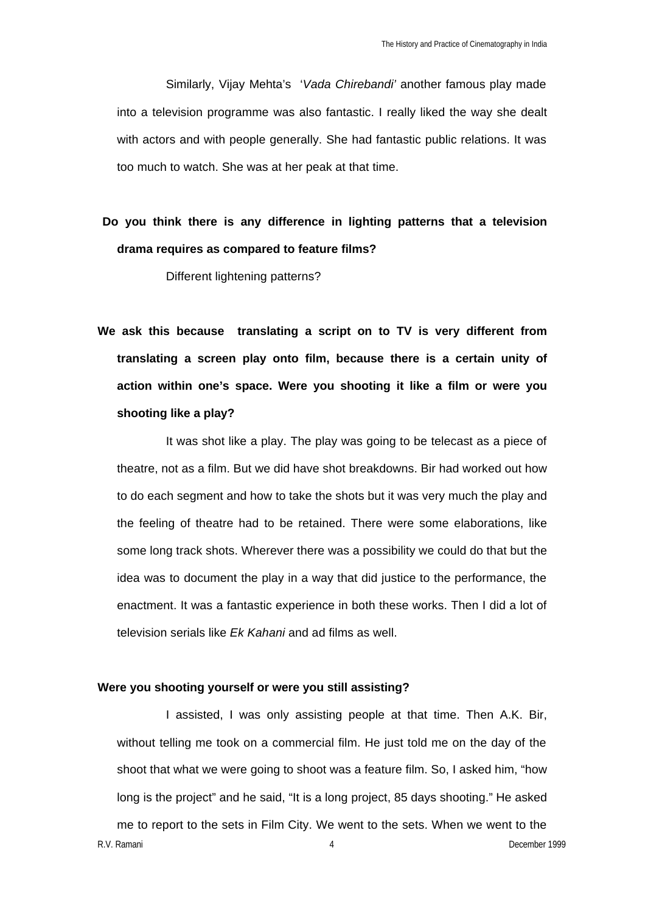Similarly, Vijay Mehta's '*Vada Chirebandi'* another famous play made into a television programme was also fantastic. I really liked the way she dealt with actors and with people generally. She had fantastic public relations. It was too much to watch. She was at her peak at that time.

# **Do you think there is any difference in lighting patterns that a television drama requires as compared to feature films?**

Different lightening patterns?

**We ask this because translating a script on to TV is very different from translating a screen play onto film, because there is a certain unity of action within one's space. Were you shooting it like a film or were you shooting like a play?**

It was shot like a play. The play was going to be telecast as a piece of theatre, not as a film. But we did have shot breakdowns. Bir had worked out how to do each segment and how to take the shots but it was very much the play and the feeling of theatre had to be retained. There were some elaborations, like some long track shots. Wherever there was a possibility we could do that but the idea was to document the play in a way that did justice to the performance, the enactment. It was a fantastic experience in both these works. Then I did a lot of television serials like *Ek Kahani* and ad films as well.

## **Were you shooting yourself or were you still assisting?**

R.V. Ramani 4 December 1999 I assisted, I was only assisting people at that time. Then A.K. Bir, without telling me took on a commercial film. He just told me on the day of the shoot that what we were going to shoot was a feature film. So, I asked him, "how long is the project" and he said, "It is a long project, 85 days shooting." He asked me to report to the sets in Film City. We went to the sets. When we went to the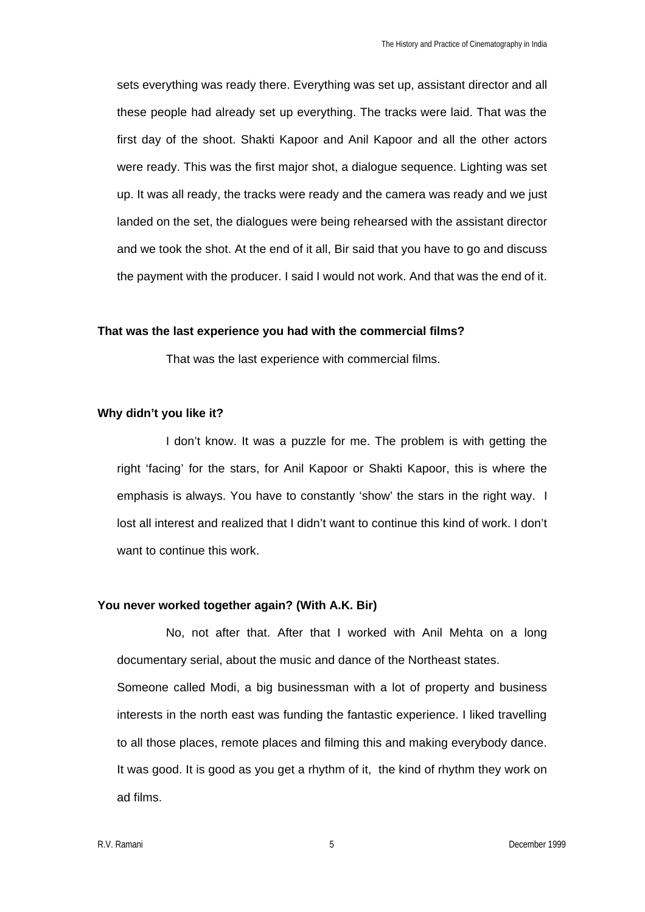sets everything was ready there. Everything was set up, assistant director and all these people had already set up everything. The tracks were laid. That was the first day of the shoot. Shakti Kapoor and Anil Kapoor and all the other actors were ready. This was the first major shot, a dialogue sequence. Lighting was set up. It was all ready, the tracks were ready and the camera was ready and we just landed on the set, the dialogues were being rehearsed with the assistant director and we took the shot. At the end of it all, Bir said that you have to go and discuss the payment with the producer. I said I would not work. And that was the end of it.

#### **That was the last experience you had with the commercial films?**

That was the last experience with commercial films.

## **Why didn't you like it?**

I don't know. It was a puzzle for me. The problem is with getting the right 'facing' for the stars, for Anil Kapoor or Shakti Kapoor, this is where the emphasis is always. You have to constantly 'show' the stars in the right way. I lost all interest and realized that I didn't want to continue this kind of work. I don't want to continue this work.

## **You never worked together again? (With A.K. Bir)**

No, not after that. After that I worked with Anil Mehta on a long documentary serial, about the music and dance of the Northeast states. Someone called Modi, a big businessman with a lot of property and business interests in the north east was funding the fantastic experience. I liked travelling to all those places, remote places and filming this and making everybody dance. It was good. It is good as you get a rhythm of it, the kind of rhythm they work on ad films.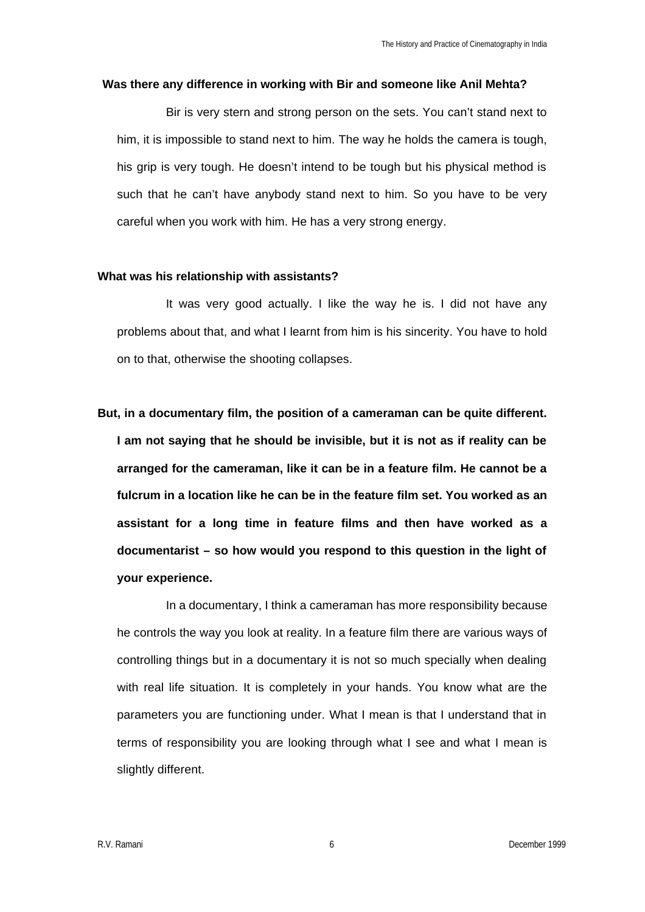#### **Was there any difference in working with Bir and someone like Anil Mehta?**

Bir is very stern and strong person on the sets. You can't stand next to him, it is impossible to stand next to him. The way he holds the camera is tough, his grip is very tough. He doesn't intend to be tough but his physical method is such that he can't have anybody stand next to him. So you have to be very careful when you work with him. He has a very strong energy.

#### **What was his relationship with assistants?**

It was very good actually. I like the way he is. I did not have any problems about that, and what I learnt from him is his sincerity. You have to hold on to that, otherwise the shooting collapses.

**But, in a documentary film, the position of a cameraman can be quite different. I am not saying that he should be invisible, but it is not as if reality can be arranged for the cameraman, like it can be in a feature film. He cannot be a fulcrum in a location like he can be in the feature film set. You worked as an assistant for a long time in feature films and then have worked as a documentarist – so how would you respond to this question in the light of your experience.**

In a documentary, I think a cameraman has more responsibility because he controls the way you look at reality. In a feature film there are various ways of controlling things but in a documentary it is not so much specially when dealing with real life situation. It is completely in your hands. You know what are the parameters you are functioning under. What I mean is that I understand that in terms of responsibility you are looking through what I see and what I mean is slightly different.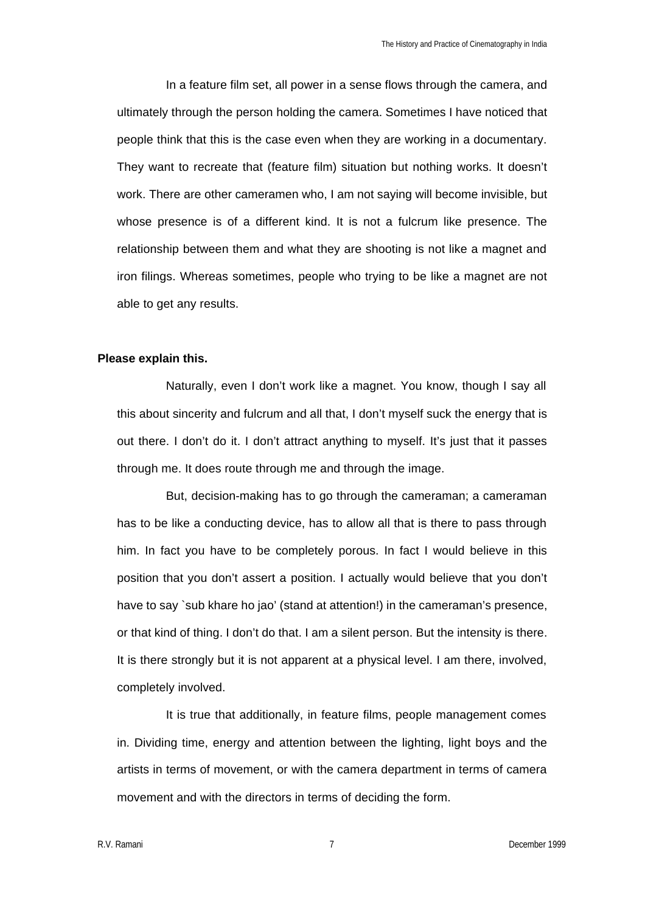In a feature film set, all power in a sense flows through the camera, and ultimately through the person holding the camera. Sometimes I have noticed that people think that this is the case even when they are working in a documentary. They want to recreate that (feature film) situation but nothing works. It doesn't work. There are other cameramen who, I am not saying will become invisible, but whose presence is of a different kind. It is not a fulcrum like presence. The relationship between them and what they are shooting is not like a magnet and iron filings. Whereas sometimes, people who trying to be like a magnet are not able to get any results.

## **Please explain this.**

Naturally, even I don't work like a magnet. You know, though I say all this about sincerity and fulcrum and all that, I don't myself suck the energy that is out there. I don't do it. I don't attract anything to myself. It's just that it passes through me. It does route through me and through the image.

But, decision-making has to go through the cameraman; a cameraman has to be like a conducting device, has to allow all that is there to pass through him. In fact you have to be completely porous. In fact I would believe in this position that you don't assert a position. I actually would believe that you don't have to say `sub khare ho jao' (stand at attention!) in the cameraman's presence, or that kind of thing. I don't do that. I am a silent person. But the intensity is there. It is there strongly but it is not apparent at a physical level. I am there, involved, completely involved.

It is true that additionally, in feature films, people management comes in. Dividing time, energy and attention between the lighting, light boys and the artists in terms of movement, or with the camera department in terms of camera movement and with the directors in terms of deciding the form.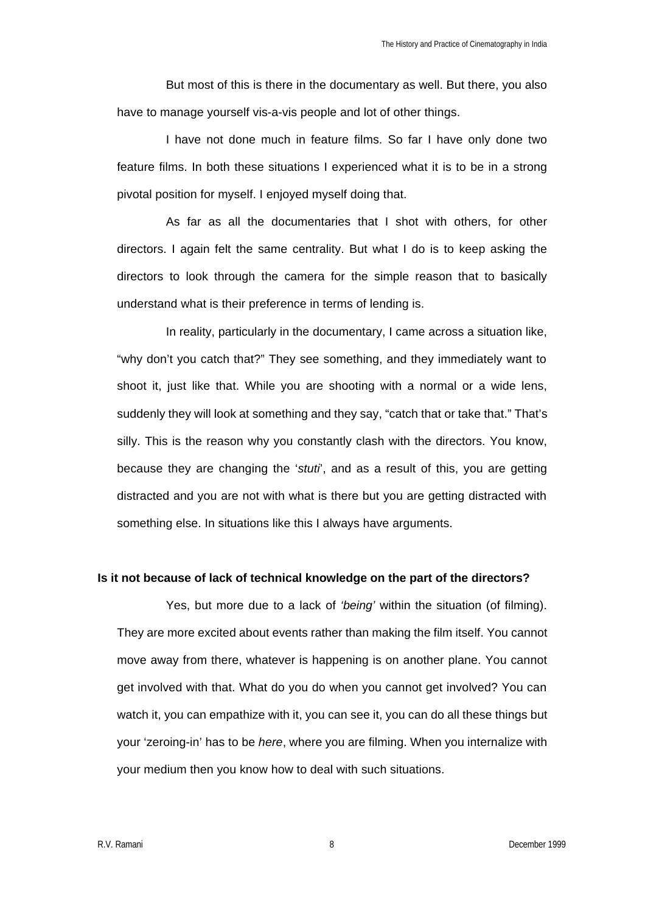But most of this is there in the documentary as well. But there, you also have to manage yourself vis-a-vis people and lot of other things.

I have not done much in feature films. So far I have only done two feature films. In both these situations I experienced what it is to be in a strong pivotal position for myself. I enjoyed myself doing that.

As far as all the documentaries that I shot with others, for other directors. I again felt the same centrality. But what I do is to keep asking the directors to look through the camera for the simple reason that to basically understand what is their preference in terms of lending is.

In reality, particularly in the documentary, I came across a situation like, "why don't you catch that?" They see something, and they immediately want to shoot it, just like that. While you are shooting with a normal or a wide lens, suddenly they will look at something and they say, "catch that or take that." That's silly. This is the reason why you constantly clash with the directors. You know, because they are changing the '*stuti*', and as a result of this, you are getting distracted and you are not with what is there but you are getting distracted with something else. In situations like this I always have arguments.

## **Is it not because of lack of technical knowledge on the part of the directors?**

Yes, but more due to a lack of *'being'* within the situation (of filming). They are more excited about events rather than making the film itself. You cannot move away from there, whatever is happening is on another plane. You cannot get involved with that. What do you do when you cannot get involved? You can watch it, you can empathize with it, you can see it, you can do all these things but your 'zeroing-in' has to be *here*, where you are filming. When you internalize with your medium then you know how to deal with such situations.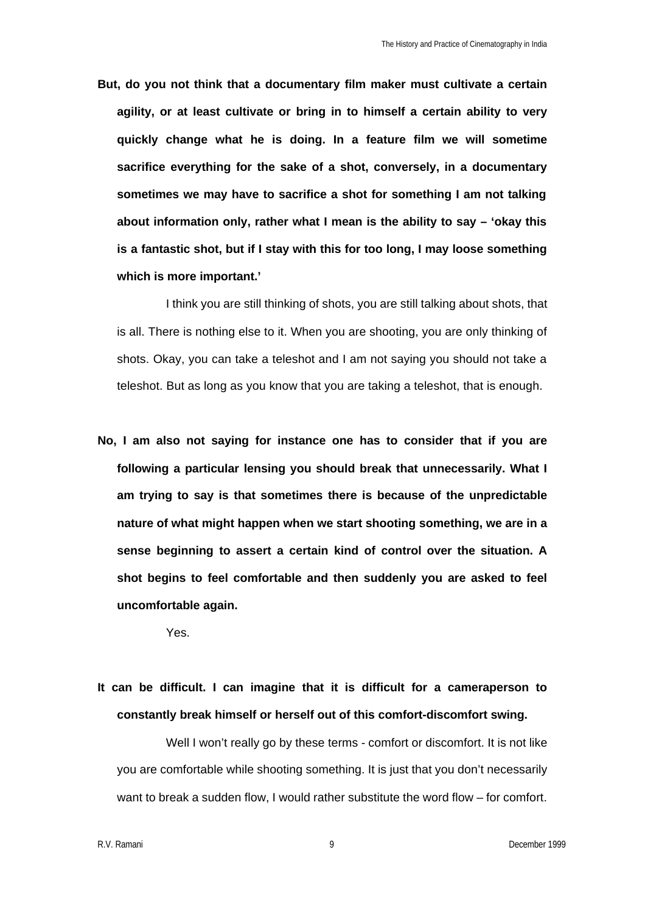**But, do you not think that a documentary film maker must cultivate a certain agility, or at least cultivate or bring in to himself a certain ability to very quickly change what he is doing. In a feature film we will sometime sacrifice everything for the sake of a shot, conversely, in a documentary sometimes we may have to sacrifice a shot for something I am not talking about information only, rather what I mean is the ability to say – 'okay this is a fantastic shot, but if I stay with this for too long, I may loose something which is more important.'**

I think you are still thinking of shots, you are still talking about shots, that is all. There is nothing else to it. When you are shooting, you are only thinking of shots. Okay, you can take a teleshot and I am not saying you should not take a teleshot. But as long as you know that you are taking a teleshot, that is enough.

**No, I am also not saying for instance one has to consider that if you are following a particular lensing you should break that unnecessarily. What I am trying to say is that sometimes there is because of the unpredictable nature of what might happen when we start shooting something, we are in a sense beginning to assert a certain kind of control over the situation. A shot begins to feel comfortable and then suddenly you are asked to feel uncomfortable again.**

Yes.

**It can be difficult. I can imagine that it is difficult for a cameraperson to constantly break himself or herself out of this comfort-discomfort swing.**

Well I won't really go by these terms - comfort or discomfort. It is not like you are comfortable while shooting something. It is just that you don't necessarily want to break a sudden flow, I would rather substitute the word flow – for comfort.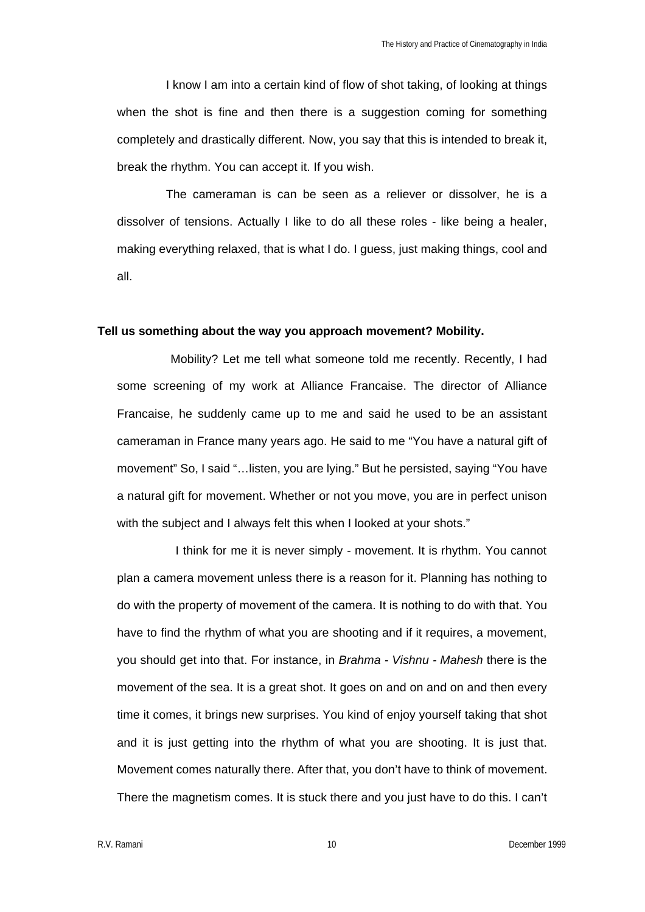I know I am into a certain kind of flow of shot taking, of looking at things when the shot is fine and then there is a suggestion coming for something completely and drastically different. Now, you say that this is intended to break it, break the rhythm. You can accept it. If you wish.

The cameraman is can be seen as a reliever or dissolver, he is a dissolver of tensions. Actually I like to do all these roles - like being a healer, making everything relaxed, that is what I do. I guess, just making things, cool and all.

#### **Tell us something about the way you approach movement? Mobility.**

Mobility? Let me tell what someone told me recently. Recently, I had some screening of my work at Alliance Francaise. The director of Alliance Francaise, he suddenly came up to me and said he used to be an assistant cameraman in France many years ago. He said to me "You have a natural gift of movement" So, I said "…listen, you are lying." But he persisted, saying "You have a natural gift for movement. Whether or not you move, you are in perfect unison with the subject and I always felt this when I looked at your shots."

I think for me it is never simply - movement. It is rhythm. You cannot plan a camera movement unless there is a reason for it. Planning has nothing to do with the property of movement of the camera. It is nothing to do with that. You have to find the rhythm of what you are shooting and if it requires, a movement, you should get into that. For instance, in *Brahma - Vishnu - Mahesh* there is the movement of the sea. It is a great shot. It goes on and on and on and then every time it comes, it brings new surprises. You kind of enjoy yourself taking that shot and it is just getting into the rhythm of what you are shooting. It is just that. Movement comes naturally there. After that, you don't have to think of movement. There the magnetism comes. It is stuck there and you just have to do this. I can't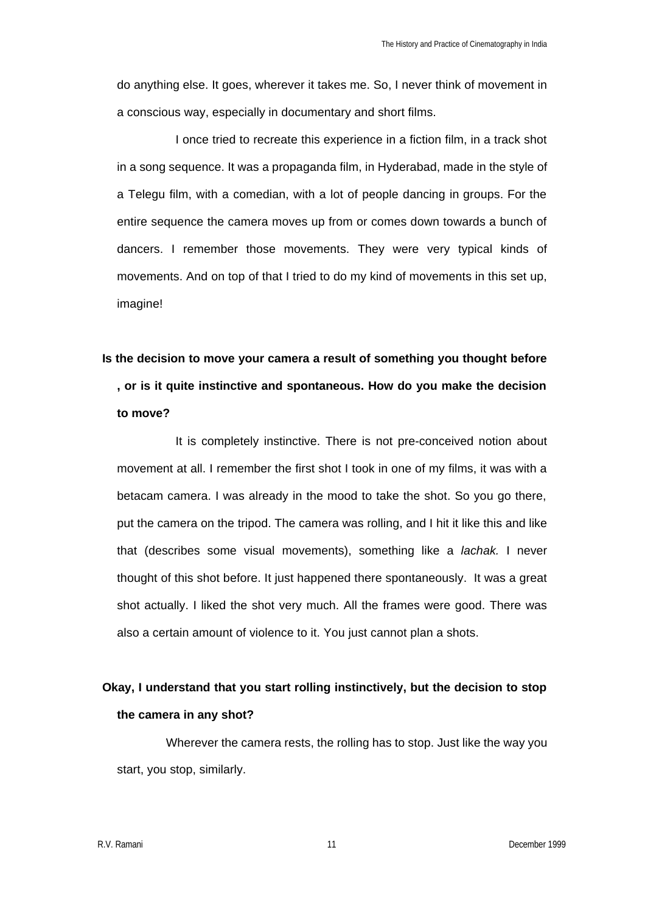do anything else. It goes, wherever it takes me. So, I never think of movement in a conscious way, especially in documentary and short films.

I once tried to recreate this experience in a fiction film, in a track shot in a song sequence. It was a propaganda film, in Hyderabad, made in the style of a Telegu film, with a comedian, with a lot of people dancing in groups. For the entire sequence the camera moves up from or comes down towards a bunch of dancers. I remember those movements. They were very typical kinds of movements. And on top of that I tried to do my kind of movements in this set up, imagine!

# **Is the decision to move your camera a result of something you thought before , or is it quite instinctive and spontaneous. How do you make the decision to move?**

It is completely instinctive. There is not pre-conceived notion about movement at all. I remember the first shot I took in one of my films, it was with a betacam camera. I was already in the mood to take the shot. So you go there, put the camera on the tripod. The camera was rolling, and I hit it like this and like that (describes some visual movements), something like a *lachak.* I never thought of this shot before. It just happened there spontaneously. It was a great shot actually. I liked the shot very much. All the frames were good. There was also a certain amount of violence to it. You just cannot plan a shots.

## **Okay, I understand that you start rolling instinctively, but the decision to stop the camera in any shot?**

Wherever the camera rests, the rolling has to stop. Just like the way you start, you stop, similarly.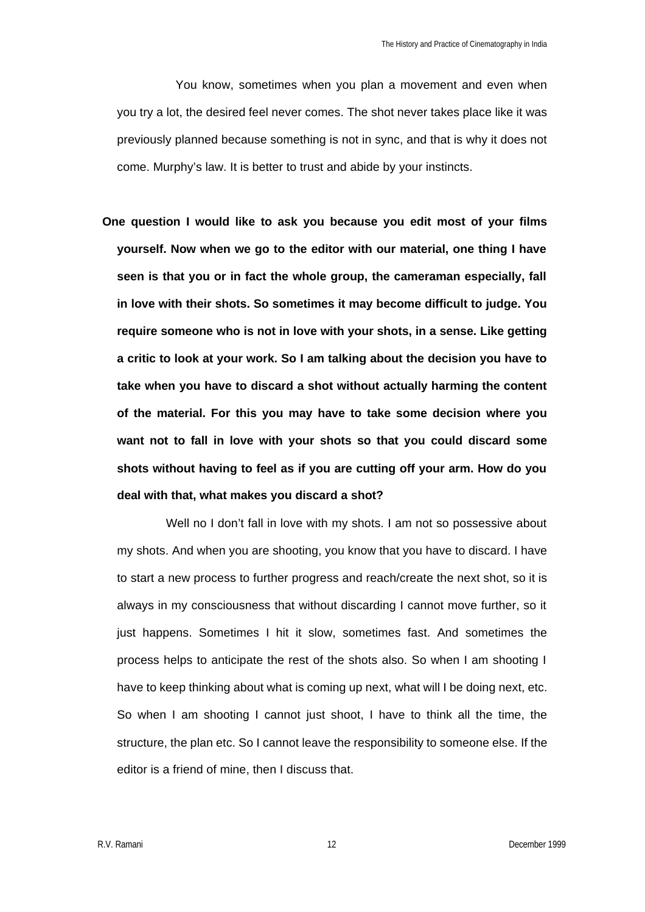You know, sometimes when you plan a movement and even when you try a lot, the desired feel never comes. The shot never takes place like it was previously planned because something is not in sync, and that is why it does not come. Murphy's law. It is better to trust and abide by your instincts.

**One question I would like to ask you because you edit most of your films yourself. Now when we go to the editor with our material, one thing I have seen is that you or in fact the whole group, the cameraman especially, fall in love with their shots. So sometimes it may become difficult to judge. You require someone who is not in love with your shots, in a sense. Like getting a critic to look at your work. So I am talking about the decision you have to take when you have to discard a shot without actually harming the content of the material. For this you may have to take some decision where you want not to fall in love with your shots so that you could discard some shots without having to feel as if you are cutting off your arm. How do you deal with that, what makes you discard a shot?**

Well no I don't fall in love with my shots. I am not so possessive about my shots. And when you are shooting, you know that you have to discard. I have to start a new process to further progress and reach/create the next shot, so it is always in my consciousness that without discarding I cannot move further, so it just happens. Sometimes I hit it slow, sometimes fast. And sometimes the process helps to anticipate the rest of the shots also. So when I am shooting I have to keep thinking about what is coming up next, what will I be doing next, etc. So when I am shooting I cannot just shoot, I have to think all the time, the structure, the plan etc. So I cannot leave the responsibility to someone else. If the editor is a friend of mine, then I discuss that.

R.V. Ramani 12 December 1999